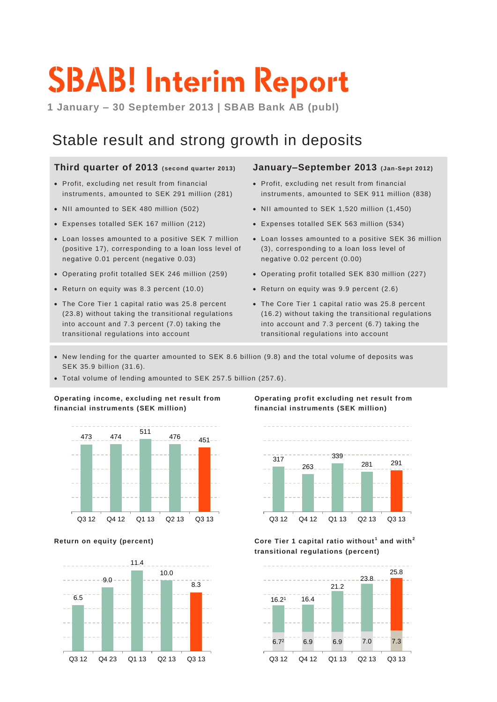# **SBAB! Interim Report**

**1 January – 30 September 2013 | SBAB Bank AB (publ)**

### Stable result and strong growth in deposits

### **Third quarter of 2013 (second quarter 2013)**

- Profit, excluding net result from financial instruments, amounted to SEK 291 million (281)
- NII amounted to SEK 480 million (502)
- Expenses totalled SEK 167 million (212)
- Loan losses amounted to a positive SEK 7 million (positive 17), corresponding to a loan loss level of negative 0.01 percent (negative 0.03)
- Operating profit totalled SEK 246 million (259)
- Return on equity was 8.3 percent (10.0)
- The Core Tier 1 capital ratio was 25.8 percent (23.8) without taking the transitional regulations into account and 7.3 percent (7.0) taking the transitional regulations into account

### **January–September 2013 (Jan-Sept 2012)**

- Profit, excluding net result from financial instruments, amounted to SEK 911 million (838)
- NII amounted to SEK 1,520 million (1,450)
- Expenses totalled SEK 563 million (534)
- Loan losses amounted to a positive SEK 36 million (3), corresponding to a loan loss level of negative 0.02 percent (0.00)
- Operating profit totalled SEK 830 million (227)
- Return on equity was 9.9 percent (2.6)
- The Core Tier 1 capital ratio was 25.8 percent (16.2) without taking the transitional regulations into account and 7.3 percent (6.7) taking the transitional regulations into account
- New lending for the quarter amounted to SEK 8.6 billion (9.8) and the total volume of deposits was SEK 35.9 billion (31.6).
- Total volume of lending amounted to SEK 257.5 billion (257.6).

**Operating income, excluding net result from financial instruments (SEK million)**





**Operating profit excluding net result from financial instruments (SEK million)**



**Return on equity (percent) Core Tier 1 capital ratio without <sup>1</sup> and with<sup>2</sup> transitional regulations (percent)**

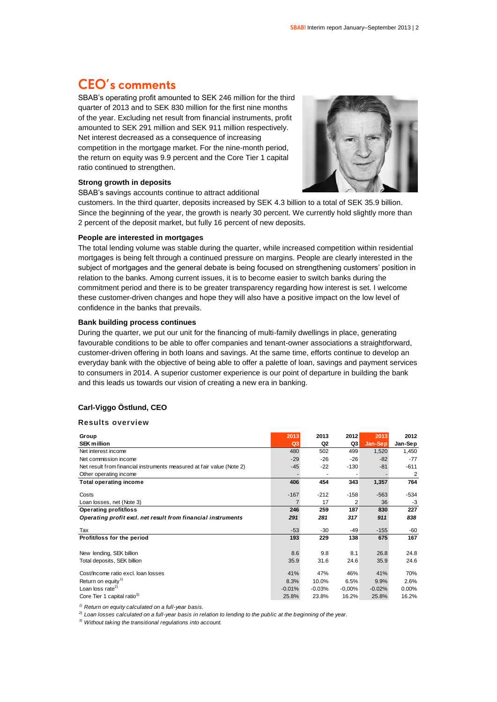### **CEO's comments**

SBAB's operating profit amounted to SEK 246 million for the third quarter of 2013 and to SEK 830 million for the first nine months of the year. Excluding net result from financial instruments, profit amounted to SEK 291 million and SEK 911 million respectively. Net interest decreased as a consequence of increasing competition in the mortgage market. For the nine-month period, the return on equity was 9.9 percent and the Core Tier 1 capital ratio continued to strengthen.

### **Strong growth in deposits**

SBAB's savings accounts continue to attract additional



customers. In the third quarter, deposits increased by SEK 4.3 billion to a total of SEK 35.9 billion. Since the beginning of the year, the growth is nearly 30 percent. We currently hold slightly more than 2 percent of the deposit market, but fully 16 percent of new deposits.

#### **People are interested in mortgages**

The total lending volume was stable during the quarter, while increased competition within residential mortgages is being felt through a continued pressure on margins. People are clearly interested in the subject of mortgages and the general debate is being focused on strengthening customers' position in relation to the banks. Among current issues, it is to become easier to switch banks during the commitment period and there is to be greater transparency regarding how interest is set. I welcome these customer-driven changes and hope they will also have a positive impact on the low level of confidence in the banks that prevails.

#### **Bank building process continues**

During the quarter, we put our unit for the financing of multi-family dwellings in place, generating favourable conditions to be able to offer companies and tenant-owner associations a straightforward, customer-driven offering in both loans and savings. At the same time, efforts continue to develop an everyday bank with the objective of being able to offer a palette of loan, savings and payment services to consumers in 2014. A superior customer experience is our point of departure in building the bank and this leads us towards our vision of creating a new era in banking.

### **Carl-Viggo Östlund, CEO**

#### **Results overview**

| Group                                                                 | 2013           | 2013           | 2012     | 2013     | 2012    |
|-----------------------------------------------------------------------|----------------|----------------|----------|----------|---------|
| <b>SEK million</b>                                                    | Q <sub>3</sub> | Q <sub>2</sub> | Q3       | Jan-Sep  | Jan-Sep |
| Net interest income                                                   | 480            | 502            | 499      | 1,520    | 1,450   |
| Net commission income                                                 | $-29$          | $-26$          | $-26$    | $-82$    | $-77$   |
| Net result from financial instruments measured at fair value (Note 2) | $-45$          | $-22$          | $-130$   | $-81$    | $-611$  |
| Other operating income                                                |                |                |          |          | 2       |
| <b>Total operating income</b>                                         | 406            | 454            | 343      | 1,357    | 764     |
| Costs                                                                 | $-167$         | $-212$         | $-158$   | $-563$   | $-534$  |
| Loan losses, net (Note 3)                                             |                | 17             | 2        | 36       | $-3$    |
| Operating profit/loss                                                 | 246            | 259            | 187      | 830      | 227     |
| Operating profit excl. net result from financial instruments          | 291            | 281            | 317      | 911      | 838     |
| Tax                                                                   | $-53$          | $-30$          | $-49$    | $-155$   | -60     |
| Profit/loss for the period                                            | 193            | 229            | 138      | 675      | 167     |
|                                                                       |                |                |          |          |         |
| New lending, SEK billion                                              | 8.6            | 9.8            | 8.1      | 26.8     | 24.8    |
| Total deposits, SEK billion                                           | 35.9           | 31.6           | 24.6     | 35.9     | 24.6    |
| Cost/Income ratio excl. Ioan losses                                   | 41%            | 47%            | 46%      | 41%      | 70%     |
| Return on equity <sup>1)</sup>                                        | 8.3%           | 10.0%          | 6.5%     | 9.9%     | 2.6%    |
| Loan loss rate <sup>2)</sup>                                          | $-0.01%$       | $-0.03%$       | $-0.00%$ | $-0.02%$ | 0.00%   |
| Core Tier 1 capital ratio <sup>3)</sup>                               | 25.8%          | 23.8%          | 16.2%    | 25.8%    | 16.2%   |

*1) Return on equity calculated on a full-year basis.*

*2) Loan losses calculated on a full-year basis in relation to lending to the public at the beginning of the year.*

*3) Without taking the transitional regulations into account.*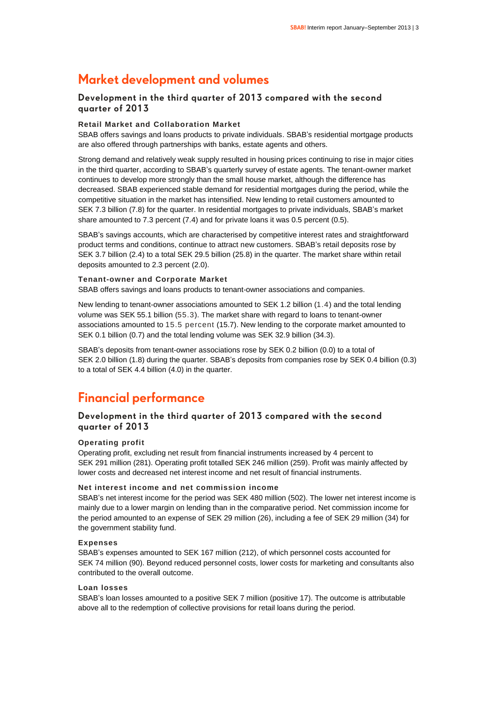### **Market development and volumes**

### **Development in the third quarter of 2013 compared with the second quarter of 2013**

### **Retail Market and Collaboration Market**

SBAB offers savings and loans products to private individuals. SBAB's residential mortgage products are also offered through partnerships with banks, estate agents and others.

Strong demand and relatively weak supply resulted in housing prices continuing to rise in major cities in the third quarter, according to SBAB's quarterly survey of estate agents. The tenant-owner market continues to develop more strongly than the small house market, although the difference has decreased. SBAB experienced stable demand for residential mortgages during the period, while the competitive situation in the market has intensified. New lending to retail customers amounted to SEK 7.3 billion (7.8) for the quarter. In residential mortgages to private individuals, SBAB's market share amounted to 7.3 percent (7.4) and for private loans it was 0.5 percent (0.5).

SBAB's savings accounts, which are characterised by competitive interest rates and straightforward product terms and conditions, continue to attract new customers. SBAB's retail deposits rose by SEK 3.7 billion (2.4) to a total SEK 29.5 billion (25.8) in the quarter. The market share within retail deposits amounted to 2.3 percent (2.0).

### **Tenant-owner and Corporate Market**

SBAB offers savings and loans products to tenant-owner associations and companies.

New lending to tenant-owner associations amounted to SEK 1.2 billion (1.4) and the total lending volume was SEK 55.1 billion (55.3). The market share with regard to loans to tenant-owner associations amounted to 15.5 percent (15.7). New lending to the corporate market amounted to SEK 0.1 billion (0.7) and the total lending volume was SEK 32.9 billion (34.3).

SBAB's deposits from tenant-owner associations rose by SEK 0.2 billion (0.0) to a total of SEK 2.0 billion (1.8) during the quarter. SBAB's deposits from companies rose by SEK 0.4 billion (0.3) to a total of SEK 4.4 billion (4.0) in the quarter.

### **Financial performance**

### **Development in the third quarter of 2013 compared with the second quarter of 2013**

### **Operating profit**

Operating profit, excluding net result from financial instruments increased by 4 percent to SEK 291 million (281). Operating profit totalled SEK 246 million (259). Profit was mainly affected by lower costs and decreased net interest income and net result of financial instruments.

### **Net interest income and net commission income**

SBAB's net interest income for the period was SEK 480 million (502). The lower net interest income is mainly due to a lower margin on lending than in the comparative period. Net commission income for the period amounted to an expense of SEK 29 million (26), including a fee of SEK 29 million (34) for the government stability fund.

### **Expenses**

SBAB's expenses amounted to SEK 167 million (212), of which personnel costs accounted for SEK 74 million (90). Beyond reduced personnel costs, lower costs for marketing and consultants also contributed to the overall outcome.

### **Loan losses**

SBAB's loan losses amounted to a positive SEK 7 million (positive 17). The outcome is attributable above all to the redemption of collective provisions for retail loans during the period.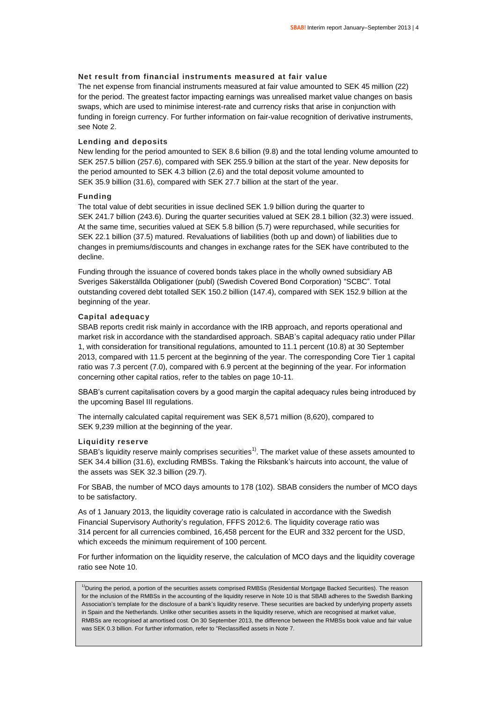### **Net result from financial instruments measured at fair value**

The net expense from financial instruments measured at fair value amounted to SEK 45 million (22) for the period. The greatest factor impacting earnings was unrealised market value changes on basis swaps, which are used to minimise interest-rate and currency risks that arise in conjunction with funding in foreign currency. For further information on fair-value recognition of derivative instruments, see Note 2.

### **Lending and deposits**

New lending for the period amounted to SEK 8.6 billion (9.8) and the total lending volume amounted to SEK 257.5 billion (257.6), compared with SEK 255.9 billion at the start of the year. New deposits for the period amounted to SEK 4.3 billion (2.6) and the total deposit volume amounted to SEK 35.9 billion (31.6), compared with SEK 27.7 billion at the start of the year.

### **Funding**

The total value of debt securities in issue declined SEK 1.9 billion during the quarter to SEK 241.7 billion (243.6). During the quarter securities valued at SEK 28.1 billion (32.3) were issued. At the same time, securities valued at SEK 5.8 billion (5.7) were repurchased, while securities for SEK 22.1 billion (37.5) matured. Revaluations of liabilities (both up and down) of liabilities due to changes in premiums/discounts and changes in exchange rates for the SEK have contributed to the decline.

Funding through the issuance of covered bonds takes place in the wholly owned subsidiary AB Sveriges Säkerställda Obligationer (publ) (Swedish Covered Bond Corporation) "SCBC". Total outstanding covered debt totalled SEK 150.2 billion (147.4), compared with SEK 152.9 billion at the beginning of the year.

### **Capital adequacy**

SBAB reports credit risk mainly in accordance with the IRB approach, and reports operational and market risk in accordance with the standardised approach. SBAB's capital adequacy ratio under Pillar 1, with consideration for transitional regulations, amounted to 11.1 percent (10.8) at 30 September 2013, compared with 11.5 percent at the beginning of the year. The corresponding Core Tier 1 capital ratio was 7.3 percent (7.0), compared with 6.9 percent at the beginning of the year. For information concerning other capital ratios, refer to the tables on page 10-11.

SBAB's current capitalisation covers by a good margin the capital adequacy rules being introduced by the upcoming Basel III regulations.

The internally calculated capital requirement was SEK 8,571 million (8,620), compared to SEK 9,239 million at the beginning of the year.

#### **Liquidity reserve**

SBAB's liquidity reserve mainly comprises securities<sup>1)</sup>. The market value of these assets amounted to SEK 34.4 billion (31.6), excluding RMBSs. Taking the Riksbank's haircuts into account, the value of the assets was SEK 32.3 billion (29.7).

For SBAB, the number of MCO days amounts to 178 (102). SBAB considers the number of MCO days to be satisfactory.

As of 1 January 2013, the liquidity coverage ratio is calculated in accordance with the Swedish Financial Supervisory Authority's regulation, FFFS 2012:6. The liquidity coverage ratio was 314 percent for all currencies combined, 16,458 percent for the EUR and 332 percent for the USD, which exceeds the minimum requirement of 100 percent.

For further information on the liquidity reserve, the calculation of MCO days and the liquidity coverage ratio see Note 10.

<sup>1)</sup>During the period, a portion of the securities assets comprised RMBSs (Residential Mortgage Backed Securities). The reason for the inclusion of the RMBSs in the accounting of the liquidity reserve in Note 10 is that SBAB adheres to the Swedish Banking Association's template for the disclosure of a bank's liquidity reserve. These securities are backed by underlying property assets in Spain and the Netherlands. Unlike other securities assets in the liquidity reserve, which are recognised at market value, RMBSs are recognised at amortised cost. On 30 September 2013, the difference between the RMBSs book value and fair value was SEK 0.3 billion. For further information, refer to "Reclassified assets in Note 7.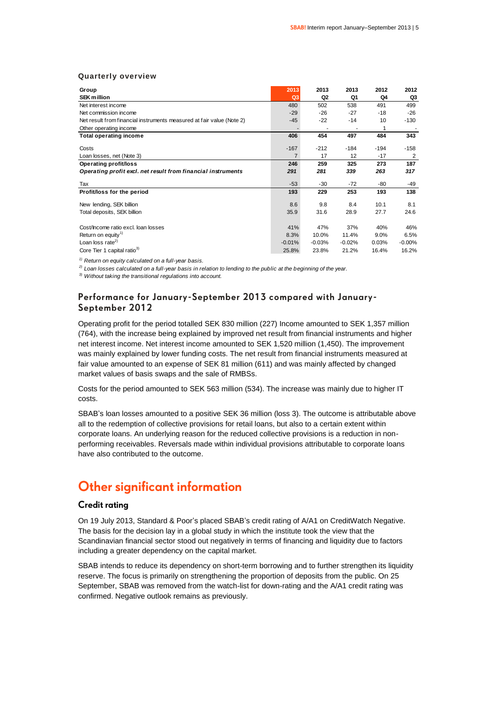#### **Quarterly overview**

| Group                                                                 | 2013           | 2013           | 2013     | 2012   | 2012           |
|-----------------------------------------------------------------------|----------------|----------------|----------|--------|----------------|
| <b>SEK million</b>                                                    | Q <sub>3</sub> | Q <sub>2</sub> | Q1       | Q4     | Q3             |
| Net interest income                                                   | 480            | 502            | 538      | 491    | 499            |
| Net commission income                                                 | $-29$          | $-26$          | $-27$    | -18    | $-26$          |
| Net result from financial instruments measured at fair value (Note 2) | $-45$          | $-22$          | $-14$    | 10     | $-130$         |
| Other operating income                                                |                |                |          | 1      |                |
| <b>Total operating income</b>                                         | 406            | 454            | 497      | 484    | 343            |
| Costs                                                                 | $-167$         | $-212$         | $-184$   | $-194$ | $-158$         |
| Loan losses, net (Note 3)                                             | 7              | 17             | 12       | $-17$  | $\overline{2}$ |
| Operating profit/loss                                                 | 246            | 259            | 325      | 273    | 187            |
| Operating profit excl. net result from financial instruments          | 291            | 281            | 339      | 263    | 317            |
| Tax                                                                   | $-53$          | $-30$          | $-72$    | -80    | -49            |
| Profit/loss for the period                                            | 193            | 229            | 253      | 193    | 138            |
| New lending, SEK billion                                              | 8.6            | 9.8            | 8.4      | 10.1   | 8.1            |
| Total deposits, SEK billion                                           | 35.9           | 31.6           | 28.9     | 27.7   | 24.6           |
| Cost/Income ratio excl. Ioan losses                                   | 41%            | 47%            | 37%      | 40%    | 46%            |
| Return on equity <sup>1)</sup>                                        | 8.3%           | 10.0%          | 11.4%    | 9.0%   | 6.5%           |
| Loan loss rate <sup>2)</sup>                                          | $-0.01%$       | $-0.03%$       | $-0.02%$ | 0.03%  | $-0.00%$       |
| Core Tier 1 capital ratio <sup>3)</sup>                               | 25.8%          | 23.8%          | 21.2%    | 16.4%  | 16.2%          |

*1) Return on equity calculated on a full-year basis.*

*2) Loan losses calculated on a full-year basis in relation to lending to the public at the beginning of the year.*

*3) Without taking the transitional regulations into account.*

### **Performance for January-September 2013 compared with January-September 2012**

Operating profit for the period totalled SEK 830 million (227) Income amounted to SEK 1,357 million (764), with the increase being explained by improved net result from financial instruments and higher net interest income. Net interest income amounted to SEK 1,520 million (1,450). The improvement was mainly explained by lower funding costs. The net result from financial instruments measured at fair value amounted to an expense of SEK 81 million (611) and was mainly affected by changed market values of basis swaps and the sale of RMBSs.

Costs for the period amounted to SEK 563 million (534). The increase was mainly due to higher IT costs.

SBAB's loan losses amounted to a positive SEK 36 million (loss 3). The outcome is attributable above all to the redemption of collective provisions for retail loans, but also to a certain extent within corporate loans. An underlying reason for the reduced collective provisions is a reduction in nonperforming receivables. Reversals made within individual provisions attributable to corporate loans have also contributed to the outcome.

### **Other significant information**

### **Credit rating**

On 19 July 2013, Standard & Poor's placed SBAB's credit rating of A/A1 on CreditWatch Negative. The basis for the decision lay in a global study in which the institute took the view that the Scandinavian financial sector stood out negatively in terms of financing and liquidity due to factors including a greater dependency on the capital market.

SBAB intends to reduce its dependency on short-term borrowing and to further strengthen its liquidity reserve. The focus is primarily on strengthening the proportion of deposits from the public. On 25 September, SBAB was removed from the watch-list for down-rating and the A/A1 credit rating was confirmed. Negative outlook remains as previously.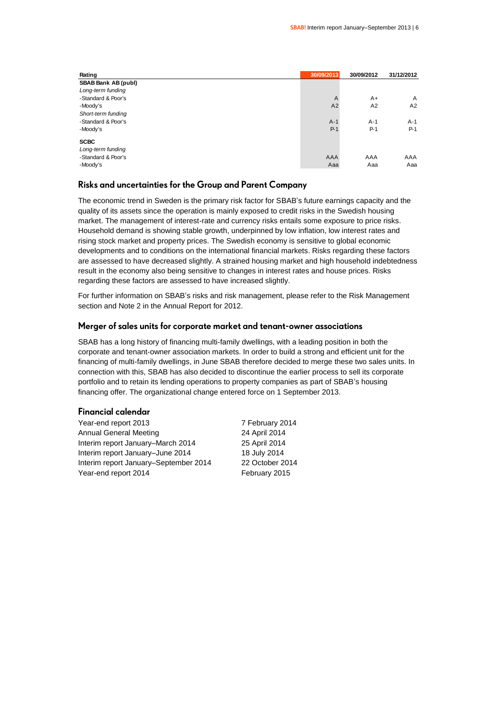| Rating              | 30/09/2013     | 30/09/2012     | 31/12/2012 |
|---------------------|----------------|----------------|------------|
| SBAB Bank AB (publ) |                |                |            |
| Long-term funding   |                |                |            |
| -Standard & Poor's  | $\overline{A}$ | $A+$           | A          |
| -Moody's            | A2             | A <sub>2</sub> | A2         |
| Short-term funding  |                |                |            |
| -Standard & Poor's  | $A-1$          | $A-1$          | $A-1$      |
| -Moody's            | $P-1$          | $P-1$          | $P-1$      |
| <b>SCBC</b>         |                |                |            |
| Long-term funding   |                |                |            |
| -Standard & Poor's  | AAA            | AAA            | AAA        |
| -Moody's            | Aaa            | Aaa            | Aaa        |

### **Risks and uncertainties for the Group and Parent Company**

The economic trend in Sweden is the primary risk factor for SBAB's future earnings capacity and the quality of its assets since the operation is mainly exposed to credit risks in the Swedish housing market. The management of interest-rate and currency risks entails some exposure to price risks. Household demand is showing stable growth, underpinned by low inflation, low interest rates and rising stock market and property prices. The Swedish economy is sensitive to global economic developments and to conditions on the international financial markets. Risks regarding these factors are assessed to have decreased slightly. A strained housing market and high household indebtedness result in the economy also being sensitive to changes in interest rates and house prices. Risks regarding these factors are assessed to have increased slightly.

For further information on SBAB's risks and risk management, please refer to the Risk Management section and Note 2 in the Annual Report for 2012.

### **Merger of sales units for corporate market and tenant-owner associations**

SBAB has a long history of financing multi-family dwellings, with a leading position in both the corporate and tenant-owner association markets. In order to build a strong and efficient unit for the financing of multi-family dwellings, in June SBAB therefore decided to merge these two sales units. In connection with this, SBAB has also decided to discontinue the earlier process to sell its corporate portfolio and to retain its lending operations to property companies as part of SBAB's housing financing offer. The organizational change entered force on 1 September 2013.

### **Financial calendar**

Year-end report 2013 7 February 2014 Annual General Meeting 24 April 2014 Interim report January–March 2014 25 April 2014 Interim report January–June 2014 18 July 2014 Interim report January–September 2014 22 October 2014 Year-end report 2014 February 2015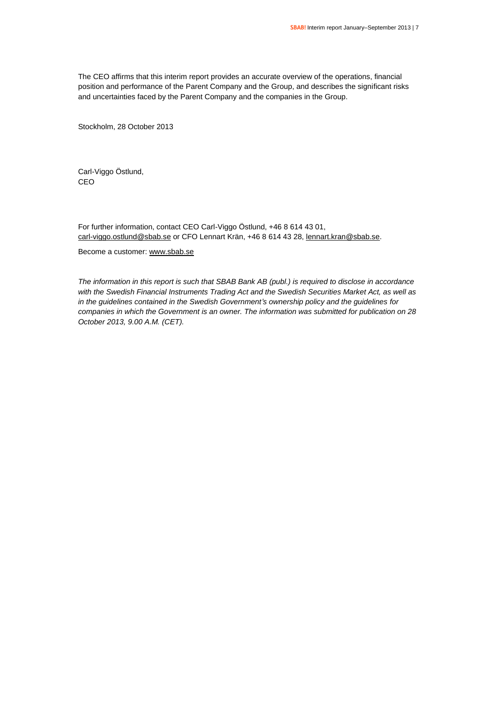The CEO affirms that this interim report provides an accurate overview of the operations, financial position and performance of the Parent Company and the Group, and describes the significant risks and uncertainties faced by the Parent Company and the companies in the Group.

Stockholm, 28 October 2013

Carl-Viggo Östlund, CEO

For further information, contact CEO Carl-Viggo Östlund, +46 8 614 43 01, [carl-viggo.ostlund@sbab.se](mailto:carl-viggo.ostlund@sbab.se) or CFO Lennart Krän, +46 8 614 43 28[, lennart.kran@sbab.se.](mailto:lennart.kran@sbab.se)

Become a customer[: www.sbab.se](http://www.sbab.se/)

*The information in this report is such that SBAB Bank AB (publ.) is required to disclose in accordance with the Swedish Financial Instruments Trading Act and the Swedish Securities Market Act, as well as in the guidelines contained in the Swedish Government's ownership policy and the guidelines for companies in which the Government is an owner. The information was submitted for publication on 28 October 2013, 9.00 A.M. (CET).*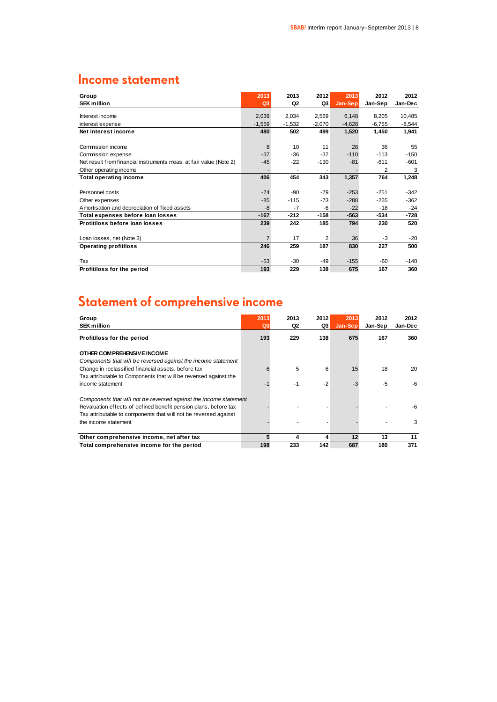### **Income statement**

| Group                                                              | 2013           | 2013     | 2012           | 2013     | 2012           | 2012     |
|--------------------------------------------------------------------|----------------|----------|----------------|----------|----------------|----------|
| <b>SEK million</b>                                                 | Q3             | Q2       | Q3             | Jan-Sep  | Jan-Sep        | Jan-Dec  |
| Interest income                                                    | 2,039          | 2,034    | 2,569          | 6,148    | 8,205          | 10,485   |
| interest expense                                                   | $-1,559$       | $-1,532$ | $-2,070$       | $-4,628$ | $-6,755$       | $-8,544$ |
| Net interest income                                                | 480            | 502      | 499            | 1,520    | 1,450          | 1,941    |
|                                                                    |                |          |                |          |                |          |
| Commission income                                                  | 8              | 10       | 11             | 28       | 36             | 55       |
| Commission expense                                                 | $-37$          | $-36$    | $-37$          | $-110$   | $-113$         | $-150$   |
| Net result from financial instruments meas. at fair value (Note 2) | -45            | $-22$    | $-130$         | $-81$    | $-611$         | $-601$   |
| Other operating income                                             |                |          |                |          | $\overline{2}$ | 3        |
| <b>Total operating income</b>                                      | 406            | 454      | 343            | 1,357    | 764            | 1,248    |
|                                                                    |                |          |                |          |                |          |
| Personnel costs                                                    | $-74$          | -90      | $-79$          | $-253$   | $-251$         | $-342$   |
| Other expenses                                                     | $-85$          | $-115$   | $-73$          | $-288$   | $-265$         | $-362$   |
| Amortisation and depreciation of fixed assets                      | $-8$           | $-7$     | -6             | $-22$    | $-18$          | $-24$    |
| Total expenses before loan losses                                  | $-167$         | -212     | $-158$         | $-563$   | $-534$         | $-728$   |
| Protit/loss before loan losses                                     | 239            | 242      | 185            | 794      | 230            | 520      |
|                                                                    |                |          |                |          |                |          |
| Loan losses, net (Note 3)                                          | $\overline{7}$ | 17       | $\overline{2}$ | 36       | -3             | $-20$    |
| Operating profit/loss                                              | 246            | 259      | 187            | 830      | 227            | 500      |
|                                                                    |                |          |                |          |                |          |
| Tax                                                                | $-53$          | $-30$    | $-49$          | $-155$   | -60            | -140     |
| Profit/loss for the period                                         | 193            | 229      | 138            | 675      | 167            | 360      |

### **Statement of comprehensive income**

| Group<br><b>SEK million</b>                                       | 2013<br>Q <sub>3</sub> | 2013<br>Q2 | 2012<br>Q3 | 2013<br>Jan-Sep | 2012<br>Jan-Sep | 2012<br>Jan-Dec |
|-------------------------------------------------------------------|------------------------|------------|------------|-----------------|-----------------|-----------------|
| Profit/loss for the period                                        | 193                    | 229        | 138        | 675             | 167             | 360             |
| OTHER COMPREHENSIVE INCOME                                        |                        |            |            |                 |                 |                 |
| Components that will be reversed against the income statement     |                        |            |            |                 |                 |                 |
| Change in reclassified financial assets, before tax               | 6                      | 5          | 6          | 15              | 18              | 20              |
| Tax attributable to Components that will be reversed against the  |                        |            |            |                 |                 |                 |
| income statement                                                  | -1                     | -1         | $-2$       | $-3$            | -5              | -6              |
| Components that will not be reversed against the income statement |                        |            |            |                 |                 |                 |
| Revaluation effects of defined benefit pension plans, before tax  |                        |            |            |                 |                 | -6              |
| Tax attributable to components that will not be reversed against  |                        |            |            |                 |                 |                 |
| the income statement                                              |                        |            |            |                 |                 | 3               |
| Other comprehensive income, net after tax                         | 5                      | 4          | 4          | 12              | 13              | 11              |
| Total comprehensive income for the period                         | 198                    | 233        | 142        | 687             | 180             | 371             |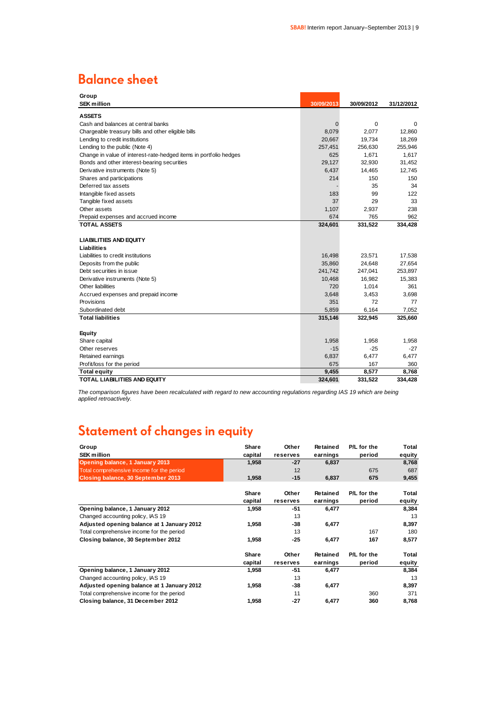### **Balance sheet**

| Group                                                             |             |            |            |
|-------------------------------------------------------------------|-------------|------------|------------|
| <b>SEK million</b>                                                | 30/09/2013  | 30/09/2012 | 31/12/2012 |
| <b>ASSETS</b>                                                     |             |            |            |
| Cash and balances at central banks                                | $\mathbf 0$ | 0          | $\Omega$   |
| Chargeable treasury bills and other eligible bills                | 8,079       | 2,077      | 12,860     |
| Lending to credit institutions                                    | 20.667      | 19,734     | 18,269     |
| Lending to the public (Note 4)                                    | 257,451     | 256,630    | 255,946    |
| Change in value of interest-rate-hedged items in portfolio hedges | 625         | 1,671      | 1,617      |
| Bonds and other interest-bearing securities                       | 29,127      | 32,930     | 31,452     |
| Derivative instruments (Note 5)                                   | 6,437       | 14,465     | 12,745     |
| Shares and participations                                         | 214         | 150        | 150        |
| Deferred tax assets                                               |             | 35         | 34         |
| Intangible fixed assets                                           | 183         | 99         | 122        |
| Tangible fixed assets                                             | 37          | 29         | 33         |
| Other assets                                                      | 1,107       | 2,937      | 238        |
| Prepaid expenses and accrued income                               | 674         | 765        | 962        |
| <b>TOTAL ASSETS</b>                                               | 324,601     | 331,522    | 334,428    |
|                                                                   |             |            |            |
| <b>LIABILITIES AND EQUITY</b>                                     |             |            |            |
| Liabilities                                                       |             |            |            |
| Liabilities to credit institutions                                | 16,498      | 23,571     | 17,538     |
| Deposits from the public                                          | 35,860      | 24,648     | 27,654     |
| Debt securities in issue                                          | 241,742     | 247,041    | 253,897    |
| Derivative instruments (Note 5)                                   | 10,468      | 16,982     | 15,383     |
| Other liabilities                                                 | 720         | 1,014      | 361        |
| Accrued expenses and prepaid income                               | 3,648       | 3,453      | 3,698      |
| Provisions                                                        | 351         | 72         | 77         |
| Subordinated debt                                                 | 5,859       | 6,164      | 7,052      |
| <b>Total liabilities</b>                                          | 315,146     | 322,945    | 325,660    |
|                                                                   |             |            |            |
| <b>Equity</b>                                                     |             |            |            |
| Share capital                                                     | 1,958       | 1,958      | 1,958      |
| Other reserves                                                    | $-15$       | $-25$      | $-27$      |
| Retained earnings                                                 | 6,837       | 6,477      | 6,477      |
| Profit/loss for the period                                        | 675         | 167        | 360        |
| <b>Total equity</b>                                               | 9,455       | 8,577      | 8,768      |
| <b>TOTAL LIABILITIES AND EQUITY</b>                               | 324,601     | 331,522    | 334,428    |

*The comparison figures have been recalculated with regard to new accounting regulations regarding IAS 19 which are being applied retroactively.*

## **Statement of changes in equity**

| Group                                      | Share   | Other    | Retained | P/L for the | Total  |
|--------------------------------------------|---------|----------|----------|-------------|--------|
| <b>SEK million</b>                         | capital | reserves | earnings | period      | equity |
| Opening balance, 1 January 2013            | 1,958   | $-27$    | 6,837    |             | 8,768  |
| Total comprehensive income for the period  |         | 12       |          | 675         | 687    |
| Closing balance, 30 September 2013         | 1,958   | $-15$    | 6,837    | 675         | 9,455  |
|                                            | Share   | Other    | Retained | P/L for the | Total  |
|                                            | capital | reserves | earnings | period      | equity |
| Opening balance, 1 January 2012            | 1,958   | -51      | 6,477    |             | 8,384  |
| Changed accounting policy, IAS 19          |         | 13       |          |             | 13     |
| Adjusted opening balance at 1 January 2012 | 1,958   | -38      | 6,477    |             | 8,397  |
| Total comprehensive income for the period  |         | 13       |          | 167         | 180    |
| Closing balance, 30 September 2012         | 1,958   | $-25$    | 6,477    | 167         | 8,577  |
|                                            | Share   | Other    | Retained | P/L for the | Total  |
|                                            | capital | reserves | earnings | period      | equity |
| Opening balance, 1 January 2012            | 1,958   | -51      | 6,477    |             | 8,384  |
| Changed accounting policy, IAS 19          |         | 13       |          |             | 13     |
| Adjusted opening balance at 1 January 2012 | 1,958   | -38      | 6,477    |             | 8,397  |
| Total comprehensive income for the period  |         | 11       |          | 360         | 371    |
| Closing balance, 31 December 2012          | 1,958   | -27      | 6,477    | 360         | 8,768  |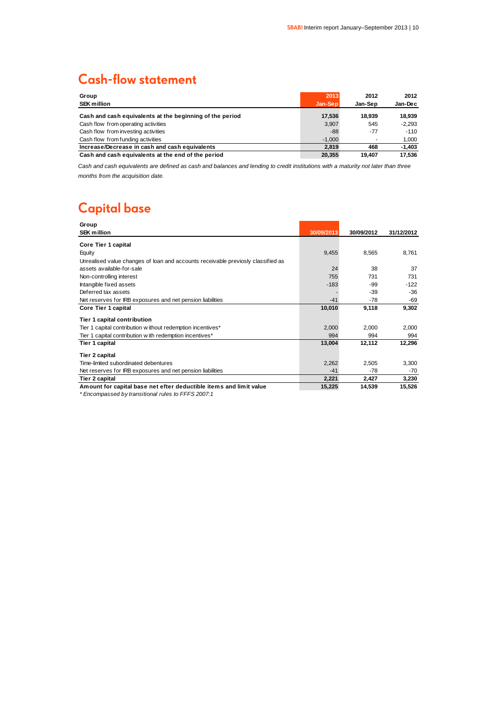### **Cash-flow statement**

| Group                                                    | 2013     | 2012    | 2012     |
|----------------------------------------------------------|----------|---------|----------|
| <b>SEK million</b>                                       | Jan-Sep  | Jan-Sep | Jan-Dec  |
| Cash and cash equivalents at the beginning of the period | 17,536   | 18.939  | 18.939   |
| Cash flow from operating activities                      | 3.907    | 545     | $-2.293$ |
| Cash flow from investing activities                      | -88      | $-77$   | $-110$   |
| Cash flow from funding activities                        | $-1.000$ |         | 1.000    |
| Increase/Decrease in cash and cash equivalents           | 2.819    | 468     | $-1.403$ |
| Cash and cash equivalents at the end of the period       | 20.355   | 19.407  | 17.536   |

*Cash and cash equivalents are defined as cash and balances and lending to credit institutions with a maturity not later than three months from the acquisition date.*

### **Capital base**

| Group                                                                            |            |            |            |
|----------------------------------------------------------------------------------|------------|------------|------------|
| <b>SEK million</b>                                                               | 30/09/2013 | 30/09/2012 | 31/12/2012 |
| Core Tier 1 capital                                                              |            |            |            |
|                                                                                  |            |            |            |
| Equity                                                                           | 9,455      | 8,565      | 8,761      |
| Unrealised value changes of loan and accounts receivable previosly classified as |            |            |            |
| assets available-for-sale                                                        | 24         | 38         | 37         |
| Non-controlling interest                                                         | 755        | 731        | 731        |
| Intangible fixed assets                                                          | $-183$     | -99        | $-122$     |
| Deferred tax assets                                                              |            | -39        | $-36$      |
| Net reserves for IRB exposures and net pension liabilities                       | $-41$      | -78        | -69        |
| Core Tier 1 capital                                                              | 10,010     | 9,118      | 9,302      |
| <b>Tier 1 capital contribution</b>                                               |            |            |            |
| Tier 1 capital contribution w ithout redemption incentives*                      | 2,000      | 2,000      | 2,000      |
| Tier 1 capital contribution w ith redemption incentives*                         | 994        | 994        | 994        |
| Tier 1 capital                                                                   | 13,004     | 12,112     | 12,296     |
| Tier 2 capital                                                                   |            |            |            |
| Time-limited subordinated debentures                                             | 2,262      | 2,505      | 3,300      |
| Net reserves for IRB exposures and net pension liabilities                       | $-41$      | -78        | $-70$      |
| Tier 2 capital                                                                   | 2,221      | 2,427      | 3,230      |
| Amount for capital base net efter deductible items and limit value               | 15,225     | 14,539     | 15,526     |

*\* Encompassed by transitional rules to FFFS 2007:1*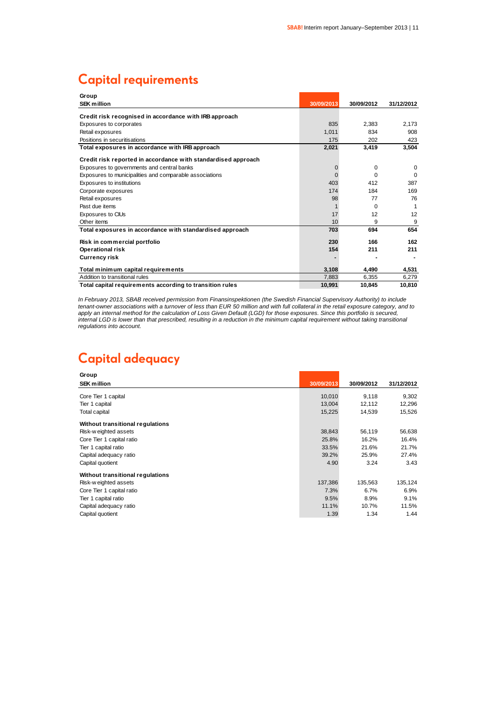### **Capital requirements**

| Group                                                         |             |            |            |
|---------------------------------------------------------------|-------------|------------|------------|
| <b>SEK million</b>                                            | 30/09/2013  | 30/09/2012 | 31/12/2012 |
| Credit risk recognised in accordance with IRB approach        |             |            |            |
| Exposures to corporates                                       | 835         | 2.383      | 2.173      |
| Retail exposures                                              | 1.011       | 834        | 908        |
| Positions in securitisations                                  | 175         | 202        | 423        |
| Total exposures in accordance with IRB approach               | 2,021       | 3,419      | 3,504      |
| Credit risk reported in accordance with standardised approach |             |            |            |
| Exposures to governments and central banks                    | $\mathbf 0$ | $\Omega$   | $\Omega$   |
| Exposures to municipalities and comparable associations       | $\Omega$    | $\Omega$   | $\Omega$   |
| Exposures to institutions                                     | 403         | 412        | 387        |
| Corporate exposures                                           | 174         | 184        | 169        |
| Retail exposures                                              | 98          | 77         | 76         |
| Past due items                                                |             | $\Omega$   |            |
| Exposures to CIUs                                             | 17          | 12         | 12         |
| Other items                                                   | 10          | 9          | 9          |
| Total exposures in accordance with standardised approach      | 703         | 694        | 654        |
| Risk in commercial portfolio                                  | 230         | 166        | 162        |
| <b>Operational risk</b>                                       | 154         | 211        | 211        |
| <b>Currency risk</b>                                          |             |            |            |
| Total minimum capital requirements                            | 3,108       | 4.490      | 4,531      |
| Addition to transitional rules                                | 7,883       | 6.355      | 6,279      |
| Total capital requirements according to transition rules      | 10.991      | 10.845     | 10.810     |

In February 2013, SBAB received permission from Finansinspektionen (the Swedish Financial Supervisory Authority) to include *tenant-owner associations with a turnover of less than EUR 50 million and with full collateral in the retail exposure category, and to apply an internal method for the calculation of Loss Given Default (LGD) for those exposures. Since this portfolio is secured, internal LGD is lower than that prescribed, resulting in a reduction in the minimum capital requirement without taking transitional regulations into account.*

### **Capital adequacy**

| Group                            |            |            |            |
|----------------------------------|------------|------------|------------|
| <b>SEK million</b>               | 30/09/2013 | 30/09/2012 | 31/12/2012 |
| Core Tier 1 capital              | 10,010     | 9,118      | 9,302      |
|                                  |            |            |            |
| Tier 1 capital                   | 13,004     | 12,112     | 12,296     |
| Total capital                    | 15,225     | 14,539     | 15,526     |
| Without transitional regulations |            |            |            |
| Risk-weighted assets             | 38,843     | 56,119     | 56,638     |
| Core Tier 1 capital ratio        | 25.8%      | 16.2%      | 16.4%      |
| Tier 1 capital ratio             | 33.5%      | 21.6%      | 21.7%      |
| Capital adequacy ratio           | 39.2%      | 25.9%      | 27.4%      |
| Capital quotient                 | 4.90       | 3.24       | 3.43       |
| Without transitional regulations |            |            |            |
| Risk-weighted assets             | 137,386    | 135,563    | 135,124    |
| Core Tier 1 capital ratio        | 7.3%       | 6.7%       | $6.9\%$    |
| Tier 1 capital ratio             | 9.5%       | 8.9%       | 9.1%       |
| Capital adequacy ratio           | 11.1%      | 10.7%      | 11.5%      |
| Capital quotient                 | 1.39       | 1.34       | 1.44       |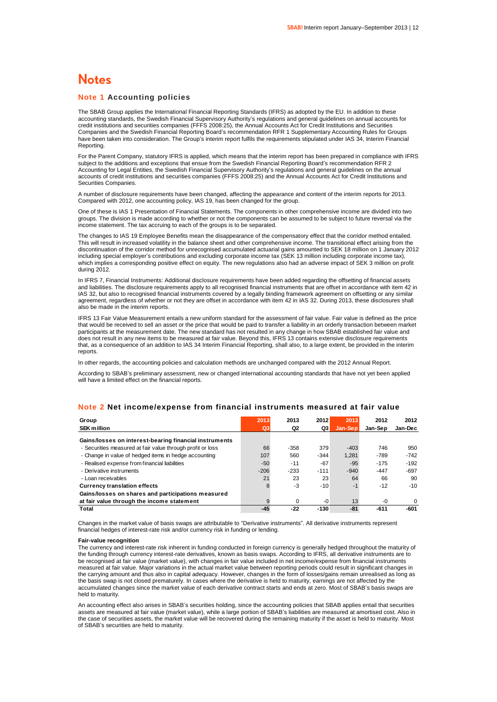### **Notes**

#### **Note 1 Accounting policies**

The SBAB Group applies the International Financial Reporting Standards (IFRS) as adopted by the EU. In addition to these accounting standards, the Swedish Financial Supervisory Authority's regulations and general guidelines on annual accounts for credit institutions and securities companies (FFFS 2008:25), the Annual Accounts Act for Credit Institutions and Securities Companies and the Swedish Financial Reporting Board's recommendation RFR 1 Supplementary Accounting Rules for Groups have been taken into consideration. The Group's interim report fulfils the requirements stipulated under IAS 34, Interim Financial Reporting.

For the Parent Company, statutory IFRS is applied, which means that the interim report has been prepared in compliance with IFRS subject to the additions and exceptions that ensue from the Swedish Financial Reporting Board's recommendation RFR 2 Accounting for Legal Entities, the Swedish Financial Supervisory Authority's regulations and general guidelines on the annual accounts of credit institutions and securities companies (FFFS 2008:25) and the Annual Accounts Act for Credit Institutions and Securities Companies.

A number of disclosure requirements have been changed, affecting the appearance and content of the interim reports for 2013. Compared with 2012, one accounting policy, IAS 19, has been changed for the group.

One of these is IAS 1 Presentation of Financial Statements. The components in other comprehensive income are divided into two groups. The division is made according to whether or not the components can be assumed to be subject to future reversal via the income statement. The tax accruing to each of the groups is to be separated.

The changes to IAS 19 Employee Benefits mean the disappearance of the compensatory effect that the corridor method entailed. This will result in increased volatility in the balance sheet and other comprehensive income. The transitional effect arising from the discontinuation of the corridor method for unrecognised accumulated actuarial gains amounted to SEK 18 million on 1 January 2012 including special employer's contributions and excluding corporate income tax (SEK 13 million including corporate income tax), which implies a corresponding positive effect on equity. The new regulations also had an adverse impact of SEK 3 million on profit during 2012.

In IFRS 7, Financial Instruments: Additional disclosure requirements have been added regarding the offsetting of financial assets and liabilities. The disclosure requirements apply to all recognised financial instruments that are offset in accordance with item 42 in IAS 32, but also to recognised financial instruments covered by a legally binding framework agreement on offsetting or any similar agreement, regardless of whether or not they are offset in accordance with item 42 in IAS 32. During 2013, these disclosures shall also be made in the interim reports.

IFRS 13 Fair Value Measurement entails a new uniform standard for the assessment of fair value. Fair value is defined as the price that would be received to sell an asset or the price that would be paid to transfer a liability in an orderly transaction between market participants at the measurement date. The new standard has not resulted in any change in how SBAB established fair value and does not result in any new items to be measured at fair value. Beyond this, IFRS 13 contains extensive disclosure requirements that, as a consequence of an addition to IAS 34 Interim Financial Reporting, shall also, to a large extent, be provided in the interim reports.

In other regards, the accounting policies and calculation methods are unchanged compared with the 2012 Annual Report.

According to SBAB's preliminary assessment, new or changed international accounting standards that have not yet been applied will have a limited effect on the financial reports.

| Note 2 Net income/expense from financial instruments measured at fair value |  |
|-----------------------------------------------------------------------------|--|
|-----------------------------------------------------------------------------|--|

| Group                                                      | 2013   | 2013   | 2012   | 2013    | 2012    | 2012     |
|------------------------------------------------------------|--------|--------|--------|---------|---------|----------|
| <b>SEK million</b>                                         | Q3     | Q2     | Q3     | Jan-Sep | Jan-Sep | Jan-Dec  |
| Gains/losses on interest-bearing financial instruments     |        |        |        |         |         |          |
| - Securities measured at fair value through profit or loss | 66     | $-358$ | 379    | $-403$  | 746     | 950      |
| - Change in value of hedged items in hedge accounting      | 107    | 560    | $-344$ | 1.281   | $-789$  | $-742$   |
| - Realised expense from financial liabilities              | $-50$  | $-11$  | $-67$  | $-95$   | $-175$  | $-192$   |
| - Derivative instruments                                   | $-206$ | $-233$ | $-111$ | $-940$  | $-447$  | $-697$   |
| - Loan receivables                                         | 21     | 23     | 23     | 64      | 66      | 90       |
| <b>Currency translation effects</b>                        | 8      | -3     | $-10$  | $-1$    | $-12$   | $-10$    |
| Gains/losses on shares and participations measured         |        |        |        |         |         |          |
| at fair value through the income statement                 | 9      | 0      | $-0$   | 13      | $-0$    | $\Omega$ |
| Total                                                      | $-45$  | $-22$  | $-130$ | $-81$   | -611    | $-601$   |

Changes in the market value of basis swaps are attributable to "Derivative instruments". All derivative instruments represent financial hedges of interest-rate risk and/or currency risk in funding or lending.

#### **Fair-value recognition**

The currency and interest-rate risk inherent in funding conducted in foreign currency is generally hedged throughout the maturity of the funding through currency interest-rate derivatives, known as basis swaps. According to IFRS, all derivative instruments are to be recognised at fair value (market value), with changes in fair value included in net income/expense from financial instruments measured at fair value. Major variations in the actual market value between reporting periods could result in significant changes in the carrying amount and thus also in capital adequacy. However, changes in the form of losses/gains remain unrealised as long as the basis swap is not closed prematurely. In cases where the derivative is held to maturity, earnings are not affected by the accumulated changes since the market value of each derivative contract starts and ends at zero. Most of SBAB's basis swaps are held to maturity.

An accounting effect also arises in SBAB's securities holding, since the accounting policies that SBAB applies entail that securities assets are measured at fair value (market value), while a large portion of SBAB's liabilities are measured at amortised cost. Also in the case of securities assets, the market value will be recovered during the remaining maturity if the asset is held to maturity. Most of SBAB's securities are held to maturity.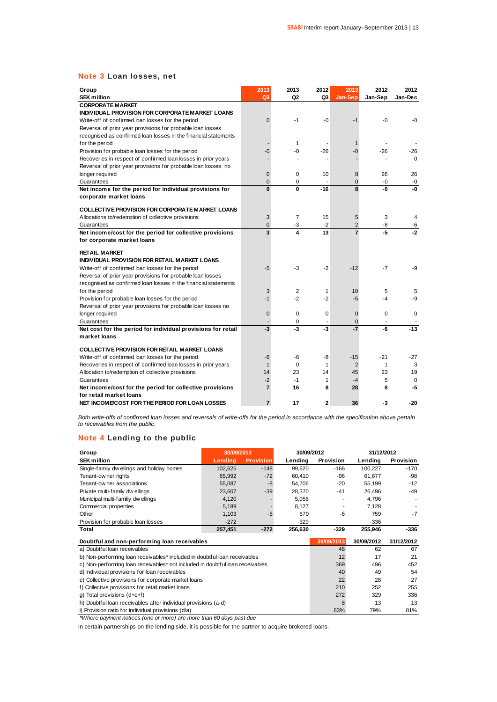### **Note 3 Loan losses, net**

| Group<br><b>SEK million</b>                                               | 2013<br>Q <sub>3</sub> | 2013<br>Q2     | 2012<br>Q3   | 2013<br>Jan-Sep | 2012<br>Jan-Sep | 2012<br>Jan-Dec |
|---------------------------------------------------------------------------|------------------------|----------------|--------------|-----------------|-----------------|-----------------|
| <b>CORPORATE MARKET</b>                                                   |                        |                |              |                 |                 |                 |
| INDIVIDUAL PROVISION FOR CORPORATE MARKET LOANS                           |                        |                |              |                 |                 |                 |
| Write-off of confirmed loan losses for the period                         | 0                      | -1             | $-0$         | $-1$            | $-0$            | $-0$            |
| Reversal of prior year provisions for probable loan losses                |                        |                |              |                 |                 |                 |
| recognised as confirmed loan losses in the financial statements           |                        |                |              |                 |                 |                 |
| for the period                                                            |                        | 1              |              |                 |                 |                 |
| Provision for probable loan losses for the period                         | -0                     | -0             | $-26$        | -0              | $-26$           | -26             |
| Recoveries in respect of confirmed loan losses in prior years             |                        |                |              |                 |                 | $\Omega$        |
| Reversal of prior year provisions for probable loan losses no             |                        |                |              |                 |                 |                 |
| longer required                                                           | $\overline{0}$         | 0              | 10           | 8               | 26              | 26              |
| Guarantees                                                                | 0                      | 0              | ٠            | 0               | -0              | -0              |
| Net income for the period for individual provisions for                   | $\mathbf{0}$           | 0              | $-16$        | 8               | -0              | -0              |
| corporate market loans                                                    |                        |                |              |                 |                 |                 |
|                                                                           |                        |                |              |                 |                 |                 |
| <b>COLLECTIVE PROVISION FOR CORPORATE MARKET LOANS</b>                    |                        |                |              |                 |                 |                 |
| Allocations to/redemption of collective provisions                        | 3                      | $\overline{7}$ | 15           | 5               | 3               | 4               |
| Guarantees                                                                | $\Omega$               | -3             | $-2$         | $\overline{2}$  | -8              | -6              |
| Net income/cost for the period for collective provisions                  | 3                      | 4              | 13           | $\overline{7}$  | $-5$            | $-2$            |
| for corporate market loans                                                |                        |                |              |                 |                 |                 |
| <b>RETAIL MARKET</b>                                                      |                        |                |              |                 |                 |                 |
| INDIVIDUAL PROVISION FOR RETAIL MARKET LOANS                              |                        |                |              |                 |                 |                 |
| Write-off of confirmed loan losses for the period                         | $-5$                   | -3             | $-2$         | $-12$           | $-7$            | -9              |
| Reversal of prior year provisions for probable loan losses                |                        |                |              |                 |                 |                 |
| recognised as confirmed loan losses in the financial statements           |                        |                |              |                 |                 |                 |
| for the period                                                            | 3                      | $\overline{2}$ | 1            | 10              | 5               | 5               |
| Provision for probable loan losses for the period                         | $-1$                   | $-2$           | $-2$         | $-5$            | $-4$            | -9              |
| Reversal of prior year provisions for probable loan losses no             |                        |                |              |                 |                 |                 |
| longer required                                                           | $\overline{0}$         | $\mathbf 0$    | $\mathbf 0$  | $\overline{0}$  | 0               | $\mathbf 0$     |
| Guarantees                                                                |                        | 0              |              | $\overline{0}$  |                 |                 |
| Net cost for the period for individual provisions for retail              | -3                     | $-3$           | -3           | $-7$            | -6              | $-13$           |
| market loans                                                              |                        |                |              |                 |                 |                 |
|                                                                           |                        |                |              |                 |                 |                 |
| <b>COLLECTIVE PROVISION FOR RETAIL MARKET LOANS</b>                       |                        |                |              |                 |                 |                 |
| Write-off of confirmed loan losses for the period                         | -6                     | -6             | -8           | $-15$           | $-21$           | $-27$           |
| Recoveries in respect of confirmed loan losses in prior years             | $\mathbf{1}$           | $\Omega$       | 1            | $\overline{2}$  | 1               | 3               |
| Allocation to/redemption of collective provisions                         | 14                     | 23             | 14           | 45              | 23              | 19              |
| Guarantees                                                                | $-2$<br>$\overline{7}$ | -1<br>16       | 1<br>8       | $-4$<br>28      | 5<br>8          | 0<br>$-5$       |
| Net income/cost for the period for collective provisions                  |                        |                |              |                 |                 |                 |
| for retail market loans<br>NET INCOME/COST FOR THE PERIOD FOR LOAN LOSSES | $\overline{7}$         | 17             | $\mathbf{2}$ | 36              | -3              | $-20$           |
|                                                                           |                        |                |              |                 |                 |                 |

*Both write-offs of confirmed loan losses and reversals of write-offs for the period in accordance with the specification above pertain to receivables from the public.*

### **Note 4 Lending to the public**

| <b>NOTE</b> + Felianity to the bublic                                         |            |                  |            |            |            |            |
|-------------------------------------------------------------------------------|------------|------------------|------------|------------|------------|------------|
| Group                                                                         | 30/09/2013 |                  | 30/09/2012 |            | 31/12/2012 |            |
| <b>SEK million</b>                                                            | Lending    | <b>Provision</b> | Lending    | Provision  | Lending    | Provision  |
| Single-family dw ellings and holiday homes                                    | 102,625    | $-148$           | 99,620     | $-166$     | 100,227    | $-170$     |
| Tenant-ow ner rights                                                          | 65,992     | $-72$            | 60,410     | -96        | 61,677     | -98        |
| Tenant-ow ner associations                                                    | 55,087     | $-8$             | 54,706     | $-20$      | 55,199     | $-12$      |
| Private multi-family dw ellings                                               | 23,607     | $-39$            | 28,370     | $-41$      | 26,496     | $-49$      |
| Municipal multi-familiy dwellings                                             | 4,120      |                  | 5,056      | ۰          | 4,796      |            |
| Commercial properties                                                         | 5,189      |                  | 8,127      |            | 7,128      |            |
| Other                                                                         | 1,103      | $-5$             | 670        | -6         | 759        | $-7$       |
| Provision for probable loan losses                                            | $-272$     |                  | $-329$     |            | $-336$     |            |
| Total                                                                         | 257,451    | $-272$           | 256,630    | $-329$     | 255,946    | -336       |
| Doubtful and non-performing loan receivables                                  |            |                  |            | 30/09/2013 | 30/09/2012 | 31/12/2012 |
| a) Doubtful loan receivables                                                  |            |                  |            | 48         | 62         | 67         |
| b) Non-performing loan receivables* included in doubtful loan receivables     |            |                  |            | 12         | 17         | 21         |
| c) Non-performing loan receivables* not included in doubtful loan receivables |            |                  |            | 369        | 496        | 452        |
| d) Individual provisions for loan receivables                                 |            |                  |            | 40         | 49         | 54         |
| e) Collective provisions for corporate market loans                           |            |                  |            | 22         | 28         | 27         |
| f) Collective provisions for retail market loans                              |            |                  |            |            | 252        | 255        |
| g) Total provisions (d+e+f)                                                   |            |                  |            |            | 329        | 336        |
| h) Doubtful loan receivables after individual provisions (a-d)                |            |                  |            | 8          | 13         | 13         |
| i) Provision ratio for individual provisions (d/a)                            |            |                  |            | 83%        | 79%        | 81%        |

*\*Where payment notices (one or more) are more than 60 days past due*

In certain partnerships on the lending side, it is possible for the partner to acquire brokered loans.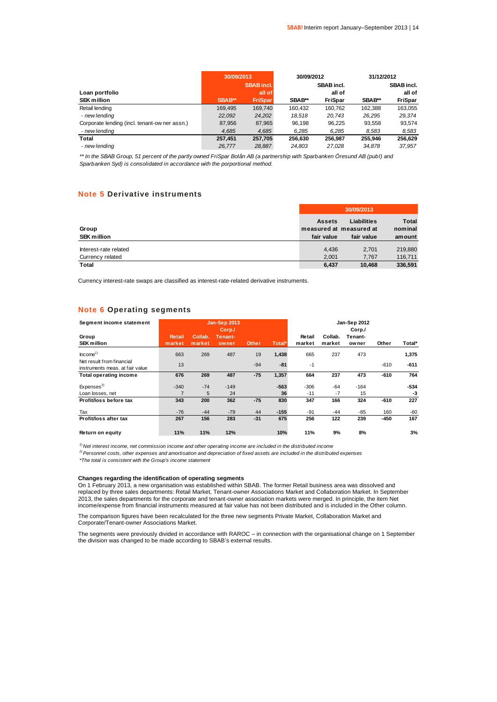|                                               | 30/09/2013 |                   | 30/09/2012 |                   | 31/12/2012 |                   |
|-----------------------------------------------|------------|-------------------|------------|-------------------|------------|-------------------|
|                                               |            | <b>SBAB</b> incl. |            | <b>SBAB</b> incl. |            | <b>SBAB</b> incl. |
| Loan portfolio                                |            | all of            |            | all of            |            | all of            |
| <b>SEK million</b>                            | SBAB**     | <b>FriSpar</b>    | SBAB**     | <b>FriSpar</b>    | SBAB**     | <b>FriSpar</b>    |
| Retail lending                                | 169.495    | 169.740           | 160.432    | 160.762           | 162.388    | 163.055           |
| - new lending                                 | 22.092     | 24.202            | 18.518     | 20.743            | 26.295     | 29.374            |
| Corporate lending (incl. tenant-ow ner assn.) | 87.956     | 87,965            | 96.198     | 96.225            | 93.558     | 93.574            |
| - new lending                                 | 4,685      | 4,685             | 6.285      | 6,285             | 8.583      | 8,583             |
| Total                                         | 257.451    | 257.705           | 256.630    | 256,987           | 255.946    | 256.629           |
| - new lendina                                 | 26.777     | 28.887            | 24.803     | 27.028            | 34,878     | 37.957            |

*\*\* In the SBAB Group, 51 percent of the partly owned FriSpar Bolån AB (a partnership with Sparbanken Öresund AB (publ) and Sparbanken Syd) is consolidated in accordance with the porportional method.*

#### **Note 5 Derivative instruments**

|                                           | 30/09/2013                                             |                                  |                                   |  |  |
|-------------------------------------------|--------------------------------------------------------|----------------------------------|-----------------------------------|--|--|
| Group<br><b>SEK million</b>               | <b>Assets</b><br>measured at measured at<br>fair value | <b>Liabilities</b><br>fair value | <b>Total</b><br>nominal<br>amount |  |  |
| Interest-rate related<br>Currency related | 4.436<br>2.001                                         | 2.701<br>7.767                   | 219,880<br>116,711                |  |  |
| <b>Total</b>                              | 6,437                                                  | 10.468                           | 336,591                           |  |  |

Currency interest-rate swaps are classified as interest-rate-related derivative instruments.

### **Note 6 Operating segments**

| Segment income statement                                     |                         |                   | <b>Jan-Sep 2013</b>        |              |        |                  |                   | Jan-Sep 2012               |        |        |
|--------------------------------------------------------------|-------------------------|-------------------|----------------------------|--------------|--------|------------------|-------------------|----------------------------|--------|--------|
| Group<br><b>SEK million</b>                                  | <b>Retail</b><br>market | Collab.<br>market | Corp./<br>Tenant-<br>owner | <b>Other</b> | Total* | Retail<br>market | Collab.<br>market | Corp./<br>Tenant-<br>owner | Other  | Total* |
|                                                              |                         |                   |                            |              |        |                  |                   |                            |        |        |
| Income <sup>1</sup>                                          | 663                     | 269               | 487                        | 19           | 1,438  | 665              | 237               | 473                        |        | 1,375  |
| Net result from financial<br>instruments meas, at fair value | 13                      |                   |                            | $-94$        | $-81$  | $-1$             |                   |                            | $-610$ | $-611$ |
| <b>Total operating income</b>                                | 676                     | 269               | 487                        | $-75$        | 1,357  | 664              | 237               | 473                        | $-610$ | 764    |
| Express <sup>2</sup>                                         | $-340$                  | $-74$             | $-149$                     |              | $-563$ | $-306$           | $-64$             | $-164$                     |        | $-534$ |
| Loan losses, net                                             |                         | 5                 | 24                         |              | 36     | $-11$            | $-7$              | 15                         |        | -3     |
| Profit/loss before tax                                       | 343                     | 200               | 362                        | $-75$        | 830    | 347              | 166               | 324                        | $-610$ | 227    |
| Tax                                                          | $-76$                   | $-44$             | $-79$                      | 44           | $-155$ | $-91$            | $-44$             | $-85$                      | 160    | $-60$  |
| Profit/loss after tax                                        | 267                     | 156               | 283                        | $-31$        | 675    | 256              | 122               | 239                        | $-450$ | 167    |
| Return on equity                                             | 11%                     | 11%               | 12%                        |              | 10%    | 11%              | 9%                | 8%                         |        | 3%     |

*1) Net interest income, net commission income and other operating income are included in the distributed income*

*2)Personnel costs, other expenses and amortisation and depreciation of fixed assets are included in the distributed expenses*

*\*The total is consistent with the Group's income statement*

#### **Changes regarding the identification of operating segments**

On 1 February 2013, a new organisation was established within SBAB. The former Retail business area was dissolved and replaced by three sales departments: Retail Market, Tenant-owner Associations Market and Collaboration Market. In September 2013, the sales departments for the corporate and tenant-owner association markets were merged. In principle, the item Net income/expense from financial instruments measured at fair value has not been distributed and is included in the Other column.

The comparison figures have been recalculated for the three new segments Private Market, Collaboration Market and Corporate/Tenant-owner Associations Market.

The segments were previously divided in accordance with RAROC – in connection with the organisational change on 1 September the division was changed to be made according to SBAB's external results.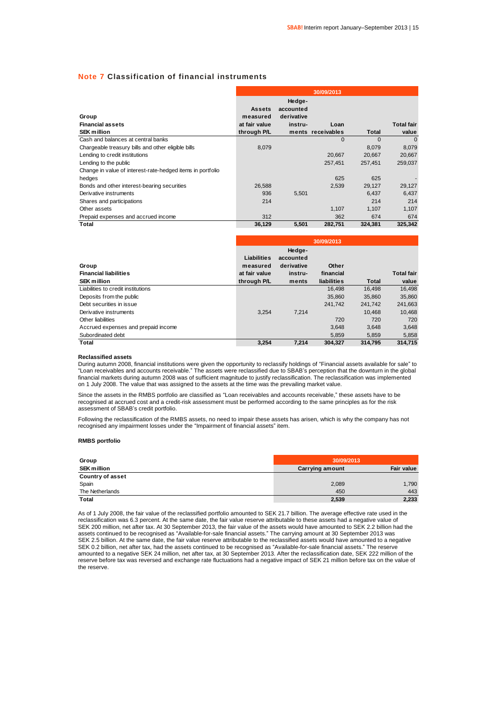### **Note 7 Classification of financial instruments**

|                                                            |                                            |                                              | 30/09/2013        |          |                   |
|------------------------------------------------------------|--------------------------------------------|----------------------------------------------|-------------------|----------|-------------------|
| Group<br><b>Financial assets</b>                           | <b>Assets</b><br>measured<br>at fair value | Hedge-<br>accounted<br>derivative<br>instru- | Loan              |          | <b>Total fair</b> |
| <b>SEK million</b>                                         | through P/L                                |                                              | ments receivables | Total    | value             |
| Cash and balances at central banks                         |                                            |                                              | $\Omega$          | $\Omega$ | $\Omega$          |
| Chargeable treasury bills and other eligible bills         | 8,079                                      |                                              |                   | 8,079    | 8,079             |
| Lending to credit institutions                             |                                            |                                              | 20.667            | 20.667   | 20,667            |
| Lending to the public                                      |                                            |                                              | 257,451           | 257.451  | 259,037           |
| Change in value of interest-rate-hedged items in portfolio |                                            |                                              |                   |          |                   |
| hedges                                                     |                                            |                                              | 625               | 625      |                   |
| Bonds and other interest-bearing securities                | 26.588                                     |                                              | 2.539             | 29.127   | 29,127            |
| Derivative instruments                                     | 936                                        | 5,501                                        |                   | 6.437    | 6,437             |
| Shares and participations                                  | 214                                        |                                              |                   | 214      | 214               |
| Other assets                                               |                                            |                                              | 1,107             | 1,107    | 1,107             |
| Prepaid expenses and accrued income                        | 312                                        |                                              | 362               | 674      | 674               |
| Total                                                      | 36,129                                     | 5,501                                        | 282.751           | 324.381  | 325.342           |

|                                     |               |            | 30/09/2013  |         |                   |
|-------------------------------------|---------------|------------|-------------|---------|-------------------|
|                                     |               | Hedge-     |             |         |                   |
|                                     | Liabilities   | accounted  |             |         |                   |
| Group                               | measured      | derivative | Other       |         |                   |
| <b>Financial liabilities</b>        | at fair value | instru-    | financial   |         | <b>Total fair</b> |
| <b>SEK million</b>                  | through P/L   | ments      | liabilities | Total   | value             |
| Liabilities to credit institutions  |               |            | 16.498      | 16.498  | 16.498            |
| Deposits from the public            |               |            | 35,860      | 35.860  | 35.860            |
| Debt securities in issue            |               |            | 241.742     | 241,742 | 241,663           |
| Derivative instruments              | 3.254         | 7.214      |             | 10.468  | 10.468            |
| Other liabilities                   |               |            | 720         | 720     | 720               |
| Accrued expenses and prepaid income |               |            | 3.648       | 3.648   | 3.648             |
| Subordinated debt                   |               |            | 5,859       | 5,859   | 5,858             |
| Total                               | 3,254         | 7.214      | 304.327     | 314.795 | 314.715           |

#### **Reclassified assets**

During autumn 2008, financial institutions were given the opportunity to reclassify holdings of "Financial assets available for sale" to "Loan receivables and accounts receivable." The assets were reclassified due to SBAB's perception that the downturn in the global financial markets during autumn 2008 was of sufficient magnitude to justify reclassification. The reclassification was implemented on 1 July 2008. The value that was assigned to the assets at the time was the prevailing market value.

Since the assets in the RMBS portfolio are classified as "Loan receivables and accounts receivable," these assets have to be recognised at accrued cost and a credit-risk assessment must be performed according to the same principles as for the risk assessment of SBAB's credit portfolio.

Following the reclassification of the RMBS assets, no need to impair these assets has arisen, which is why the company has not recognised any impairment losses under the "Impairment of financial assets" item.

#### **RMBS portfolio**

| Group                   | 30/09/2013             |            |  |  |
|-------------------------|------------------------|------------|--|--|
| <b>SEK million</b>      | <b>Carrying amount</b> | Fair value |  |  |
| <b>Country of asset</b> |                        |            |  |  |
| Spain                   | 2,089                  | 1,790      |  |  |
| The Netherlands         | 450                    | 443        |  |  |
| Total                   | 2,539                  | 2,233      |  |  |

As of 1 July 2008, the fair value of the reclassified portfolio amounted to SEK 21.7 billion. The average effective rate used in the reclassification was 6.3 percent. At the same date, the fair value reserve attributable to these assets had a negative value of SEK 200 million, net after tax. At 30 September 2013, the fair value of the assets would have amounted to SEK 2.2 billion had the assets continued to be recognised as "Available-for-sale financial assets." The carrying amount at 30 September 2013 was SEK 2.5 billion. At the same date, the fair value reserve attributable to the reclassified assets would have amounted to a negative SEK 0.2 billion, net after tax, had the assets continued to be recognised as "Available-for-sale financial assets." The reserve amounted to a negative SEK 24 million, net after tax, at 30 September 2013. After the reclassification date, SEK 222 million of the reserve before tax was reversed and exchange rate fluctuations had a negative impact of SEK 21 million before tax on the value of the reserve.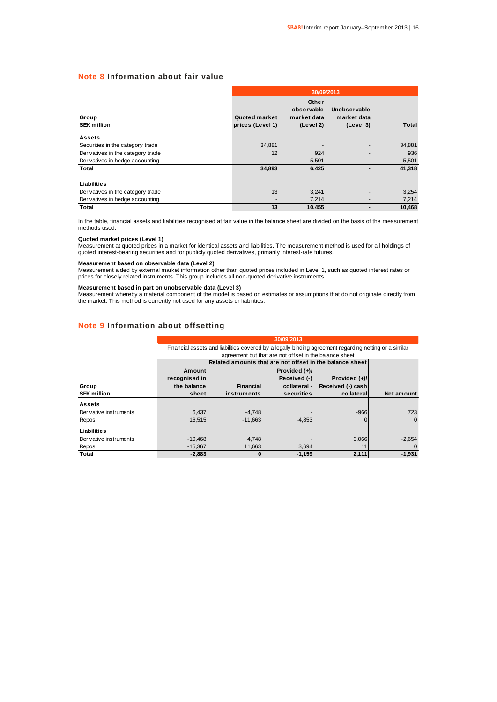### **Note 8 Information about fair value**

|                                   |                                   | 30/09/2013                                      |                                          |              |  |  |  |  |  |  |
|-----------------------------------|-----------------------------------|-------------------------------------------------|------------------------------------------|--------------|--|--|--|--|--|--|
| Group<br><b>SEK million</b>       | Quoted market<br>prices (Level 1) | Other<br>observable<br>market data<br>(Level 2) | Unobservable<br>market data<br>(Level 3) | <b>Total</b> |  |  |  |  |  |  |
| <b>Assets</b>                     |                                   |                                                 |                                          |              |  |  |  |  |  |  |
| Securities in the category trade  | 34,881                            |                                                 |                                          | 34,881       |  |  |  |  |  |  |
| Derivatives in the category trade | 12                                | 924                                             |                                          | 936          |  |  |  |  |  |  |
| Derivatives in hedge accounting   |                                   | 5,501                                           |                                          | 5,501        |  |  |  |  |  |  |
| Total                             | 34,893                            | 6,425                                           |                                          | 41,318       |  |  |  |  |  |  |
| Liabilities                       |                                   |                                                 |                                          |              |  |  |  |  |  |  |
| Derivatives in the category trade | 13                                | 3,241                                           |                                          | 3,254        |  |  |  |  |  |  |
| Derivatives in hedge accounting   |                                   | 7,214                                           | ٠                                        | 7,214        |  |  |  |  |  |  |
| Total                             | 13                                | 10,455                                          |                                          | 10.468       |  |  |  |  |  |  |

In the table, financial assets and liabilities recognised at fair value in the balance sheet are divided on the basis of the measurement methods used.

#### **Quoted market prices (Level 1)**

Measurement at quoted prices in a market for identical assets and liabilities. The measurement method is used for all holdings of quoted interest-bearing securities and for publicly quoted derivatives, primarily interest-rate futures.

#### **Measurement based on observable data (Level 2)**

Measurement aided by external market information other than quoted prices included in Level 1, such as quoted interest rates or<br>prices for closely related instruments. This group includes all non-quoted derivative instrume

#### **Measurement based in part on unobservable data (Level 3)**

Measurement whereby a material component of the model is based on estimates or assumptions that do not originate directly from the market. This method is currently not used for any assets or liabilities.

### **Note 9 Information about offsetting**

|                        | 30/09/2013    |                                                                                                        |                                                        |                   |            |  |  |  |
|------------------------|---------------|--------------------------------------------------------------------------------------------------------|--------------------------------------------------------|-------------------|------------|--|--|--|
|                        |               | Financial assets and liabilities covered by a legally binding agreement regarding netting or a similar |                                                        |                   |            |  |  |  |
|                        |               |                                                                                                        | agreement but that are not offset in the balance sheet |                   |            |  |  |  |
|                        |               | Related amounts that are not offset in the balance sheet                                               |                                                        |                   |            |  |  |  |
|                        | Amount        |                                                                                                        | Provided (+)/                                          |                   |            |  |  |  |
|                        | recognised in |                                                                                                        | Received (-)                                           | Provided (+)/     |            |  |  |  |
| Group                  | the balance   | <b>Financial</b>                                                                                       | collateral -                                           | Received (-) cash |            |  |  |  |
| <b>SEK million</b>     | sheet         | instruments                                                                                            | securities                                             | collateral        | Net amount |  |  |  |
| <b>Assets</b>          |               |                                                                                                        |                                                        |                   |            |  |  |  |
| Derivative instruments | 6,437         | $-4.748$                                                                                               |                                                        | $-966$            | 723        |  |  |  |
| Repos                  | 16.515        | $-11.663$                                                                                              | $-4.853$                                               | $\Omega$          | $\Omega$   |  |  |  |
| Liabilities            |               |                                                                                                        |                                                        |                   |            |  |  |  |
| Derivative instruments | $-10,468$     | 4,748                                                                                                  |                                                        | 3,066             | $-2,654$   |  |  |  |
| Repos                  | $-15,367$     | 11,663                                                                                                 | 3.694                                                  | 11                | $\Omega$   |  |  |  |
| Total                  | $-2,883$      | $\bf{0}$                                                                                               | $-1.159$                                               | 2,111             | $-1.931$   |  |  |  |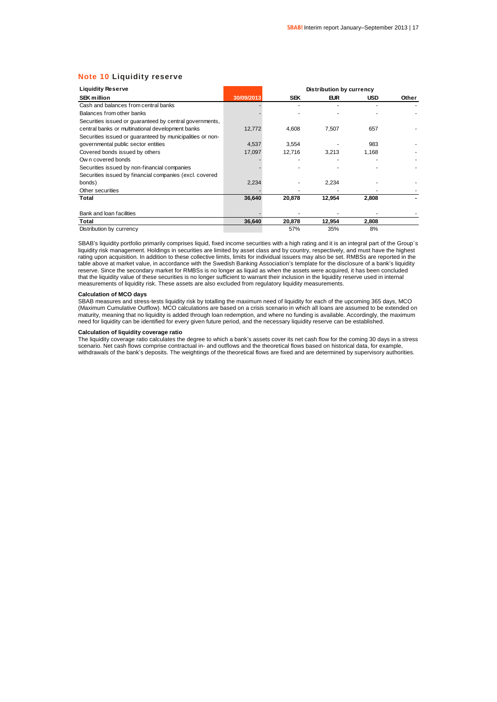### **Note 10 Liquidity reserve**

| <b>Liquidity Reserve</b>                                  |            |            | <b>Distribution by currency</b> |            |       |
|-----------------------------------------------------------|------------|------------|---------------------------------|------------|-------|
| <b>SEK million</b>                                        | 30/09/2013 | <b>SEK</b> | <b>EUR</b>                      | <b>USD</b> | Other |
| Cash and balances from central banks                      |            |            |                                 |            |       |
| Balances from other banks                                 |            |            |                                 |            |       |
| Securities issued or quaranteed by central governments,   |            |            |                                 |            |       |
| central banks or multinational development banks          | 12,772     | 4,608      | 7.507                           | 657        |       |
| Securities issued or guaranteed by municipalities or non- |            |            |                                 |            |       |
| governmental public sector entities                       | 4,537      | 3,554      |                                 | 983        |       |
| Covered bonds issued by others                            | 17,097     | 12,716     | 3,213                           | 1,168      |       |
| Own covered bonds                                         |            |            |                                 |            |       |
| Securities issued by non-financial companies              |            |            |                                 |            |       |
| Securities issued by financial companies (excl. covered   |            |            |                                 |            |       |
| bonds)                                                    | 2,234      |            | 2,234                           |            |       |
| Other securities                                          |            |            |                                 |            |       |
| Total                                                     | 36,640     | 20,878     | 12,954                          | 2,808      |       |
| Bank and loan facilities                                  |            |            |                                 |            |       |
| Total                                                     | 36,640     | 20,878     | 12,954                          | 2,808      |       |
| Distribution by currency                                  |            | 57%        | 35%                             | 8%         |       |

SBAB's liquidity portfolio primarily comprises liquid, fixed income securities with a high rating and it is an integral part of the Group´s liquidity risk management. Holdings in securities are limited by asset class and by country, respectively, and must have the highest rating upon acquisition. In addition to these collective limits, limits for individual issuers may also be set. RMBSs are reported in the table above at market value, in accordance with the Swedish Banking Association's template for the disclosure of a bank's liquidity reserve. Since the secondary market for RMBSs is no longer as liquid as when the assets were acquired, it has been concluded that the liquidity value of these securities is no longer sufficient to warrant their inclusion in the liquidity reserve used in internal<br>measurements of liquidity risk. These assets are also excluded from regulatory liqui

#### **Calculation of MCO days**

SBAB measures and stress-tests liquidity risk by totalling the maximum need of liquidity for each of the upcoming 365 days, MCO (Maximum Cumulative Outflow). MCO calculations are based on a crisis scenario in which all loans are assumed to be extended on maturity, meaning that no liquidity is added through loan redemption, and where no funding is available. Accordingly, the maximum need for liquidity can be identified for every given future period, and the necessary liquidity reserve can be established.

### **Calculation of liquidity coverage ratio**

The liquidity coverage ratio calculates the degree to which a bank's assets cover its net cash flow for the coming 30 days in a stress scenario. Net cash flows comprise contractual in- and outflows and the theoretical flows based on historical data, for example, withdrawals of the bank's deposits. The weightings of the theoretical flows are fixed and are determined by supervisory authorities.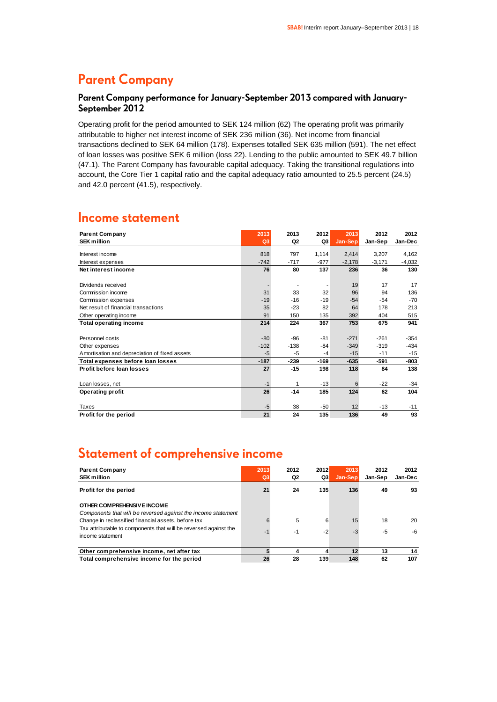### **Parent Company**

### **Parent Company performance for January-September 2013 compared with January-September 2012**

Operating profit for the period amounted to SEK 124 million (62) The operating profit was primarily attributable to higher net interest income of SEK 236 million (36). Net income from financial transactions declined to SEK 64 million (178). Expenses totalled SEK 635 million (591). The net effect of loan losses was positive SEK 6 million (loss 22). Lending to the public amounted to SEK 49.7 billion (47.1). The Parent Company has favourable capital adequacy. Taking the transitional regulations into account, the Core Tier 1 capital ratio and the capital adequacy ratio amounted to 25.5 percent (24.5) and 42.0 percent (41.5), respectively.

### **Income statement**

| <b>Parent Company</b>                         | 2013   | 2013           | 2012   | 2013     | 2012     | 2012     |
|-----------------------------------------------|--------|----------------|--------|----------|----------|----------|
| <b>SEK million</b>                            | Q3     | Q <sub>2</sub> | Q3     | Jan-Sep  | Jan-Sep  | Jan-Dec  |
| Interest income                               | 818    | 797            | 1,114  | 2,414    | 3,207    | 4,162    |
| Interest expenses                             | $-742$ | $-717$         | $-977$ | $-2,178$ | $-3,171$ | $-4,032$ |
| Net interest income                           | 76     | 80             | 137    | 236      | 36       | 130      |
|                                               |        |                |        |          |          |          |
| Dividends received                            |        | $\blacksquare$ |        | 19       | 17       | 17       |
| Commission income                             | 31     | 33             | 32     | 96       | 94       | 136      |
| Commission expenses                           | $-19$  | $-16$          | $-19$  | $-54$    | $-54$    | $-70$    |
| Net result of financial transactions          | 35     | $-23$          | 82     | 64       | 178      | 213      |
| Other operating income                        | 91     | 150            | 135    | 392      | 404      | 515      |
| <b>Total operating income</b>                 | 214    | 224            | 367    | 753      | 675      | 941      |
| Personnel costs                               | $-80$  | $-96$          | $-81$  | $-271$   | $-261$   | $-354$   |
| Other expenses                                | $-102$ | $-138$         | $-84$  | $-349$   | $-319$   | $-434$   |
| Amortisation and depreciation of fixed assets | $-5$   | $-5$           | $-4$   | $-15$    | $-11$    | $-15$    |
| Total expenses before loan losses             | $-187$ | $-239$         | $-169$ | $-635$   | $-591$   | $-803$   |
| Profit before loan losses                     | 27     | $-15$          | 198    | 118      | 84       | 138      |
| Loan losses, net                              | $-1$   | 1              | $-13$  | 6        | $-22$    | $-34$    |
| <b>Operating profit</b>                       | 26     | $-14$          | 185    | 124      | 62       | 104      |
| Taxes                                         | $-5$   | 38             | $-50$  | 12       | $-13$    | $-11$    |
| Profit for the period                         | 21     | 24             | 135    | 136      | 49       | 93       |

### **Statement of comprehensive income**

| <b>Parent Company</b><br><b>SEK million</b>                                                 | 2013<br>Q3 | 2012<br>Q2 | 2012<br>Q3 | 2013<br>Jan-Sep | 2012<br>Jan-Sep | 2012<br>Jan-Dec |
|---------------------------------------------------------------------------------------------|------------|------------|------------|-----------------|-----------------|-----------------|
| Profit for the period                                                                       | 21         | 24         | 135        | 136             | 49              | 93              |
| OTHER COMPREHENSIVE INCOME<br>Components that will be reversed against the income statement |            |            |            |                 |                 |                 |
| Change in reclassified financial assets, before tax                                         | 6          | 5          | 6          | 15              | 18              | 20              |
| Tax attributable to components that will be reversed against the<br>income statement        | $-1$       | -1         | $-2$       | $-3$            | -5              | -6              |
| Other comprehensive income, net after tax                                                   |            | 4          | 4          | 12              | 13              | 14              |
| Total comprehensive income for the period                                                   | 26         | 28         | 139        | 148             | 62              | 107             |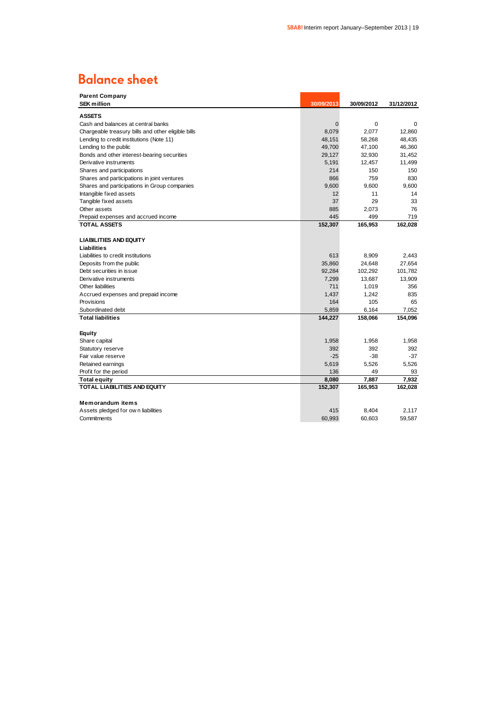### **Balance sheet**

| <b>Parent Company</b>                              |             |            |            |
|----------------------------------------------------|-------------|------------|------------|
| <b>SEK million</b>                                 | 30/09/2013  | 30/09/2012 | 31/12/2012 |
| <b>ASSETS</b>                                      |             |            |            |
| Cash and balances at central banks                 | $\mathbf 0$ | 0          | 0          |
| Chargeable treasury bills and other eligible bills | 8,079       | 2,077      | 12,860     |
| Lending to credit institutions (Note 11)           | 48,151      | 58,268     | 48,435     |
| Lending to the public                              | 49,700      | 47,100     | 46,360     |
| Bonds and other interest-bearing securities        | 29,127      | 32,930     | 31,452     |
| Derivative instruments                             | 5,191       | 12,457     | 11,499     |
| Shares and participations                          | 214         | 150        | 150        |
| Shares and participations in joint ventures        | 866         | 759        | 830        |
| Shares and participations in Group companies       | 9.600       | 9.600      | 9.600      |
| Intangible fixed assets                            | 12          | 11         | 14         |
| Tangible fixed assets                              | 37          | 29         | 33         |
| Other assets                                       | 885         | 2,073      | 76         |
| Prepaid expenses and accrued income                | 445         | 499        | 719        |
| <b>TOTAL ASSETS</b>                                | 152,307     | 165,953    | 162,028    |
|                                                    |             |            |            |
| <b>LIABILITIES AND EQUITY</b>                      |             |            |            |
| Liabilities                                        |             |            |            |
| Liabilities to credit institutions                 | 613         | 8,909      | 2,443      |
| Deposits from the public                           | 35,860      | 24,648     | 27,654     |
| Debt securities in issue                           | 92,284      | 102,292    | 101,782    |
| Derivative instruments                             | 7,299       | 13,687     | 13,909     |
| Other liabilities                                  | 711         | 1,019      | 356        |
| Accrued expenses and prepaid income                | 1,437       | 1,242      | 835        |
| Provisions                                         | 164         | 105        | 65         |
| Subordinated debt                                  | 5,859       | 6,164      | 7,052      |
| <b>Total liabilities</b>                           | 144,227     | 158,066    | 154,096    |
|                                                    |             |            |            |
| Equity                                             |             |            |            |
| Share capital                                      | 1,958       | 1,958      | 1,958      |
| Statutory reserve                                  | 392         | 392        | 392        |
| Fair value reserve                                 | $-25$       | $-38$      | $-37$      |
| Retained earnings                                  | 5,619       | 5,526      | 5,526      |
| Profit for the period                              | 136         | 49         | 93         |
| Total equity                                       | 8,080       | 7,887      | 7,932      |
| <b>TOTAL LIABILITIES AND EQUITY</b>                | 152,307     | 165,953    | 162,028    |
|                                                    |             |            |            |
| <b>Memorandum items</b>                            |             |            |            |
| Assets pledged for own liabilities                 | 415         | 8,404      | 2,117      |
| Commitments                                        | 60,993      | 60.603     | 59,587     |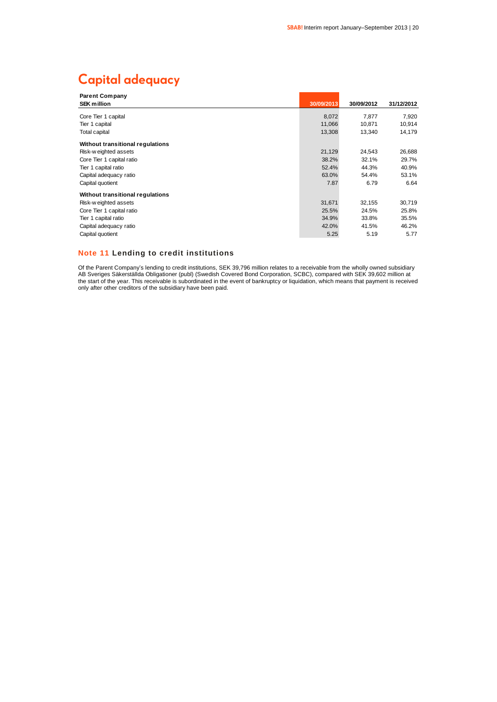### **Capital adequacy**

| <b>Parent Company</b>            |            |            |            |
|----------------------------------|------------|------------|------------|
| <b>SEK million</b>               | 30/09/2013 | 30/09/2012 | 31/12/2012 |
| Core Tier 1 capital              | 8,072      | 7,877      | 7,920      |
| Tier 1 capital                   | 11,066     | 10,871     | 10,914     |
|                                  |            |            |            |
| <b>Total capital</b>             | 13,308     | 13,340     | 14,179     |
| Without transitional regulations |            |            |            |
| Risk-weighted assets             | 21,129     | 24,543     | 26,688     |
| Core Tier 1 capital ratio        | 38.2%      | 32.1%      | 29.7%      |
| Tier 1 capital ratio             | 52.4%      | 44.3%      | 40.9%      |
| Capital adequacy ratio           | 63.0%      | 54.4%      | 53.1%      |
| Capital quotient                 | 7.87       | 6.79       | 6.64       |
| Without transitional regulations |            |            |            |
| Risk-weighted assets             | 31,671     | 32,155     | 30,719     |
| Core Tier 1 capital ratio        | 25.5%      | 24.5%      | 25.8%      |
| Tier 1 capital ratio             | 34.9%      | 33.8%      | 35.5%      |
| Capital adequacy ratio           | 42.0%      | 41.5%      | 46.2%      |
| Capital quotient                 | 5.25       | 5.19       | 5.77       |

### **Note 11 Lending to credit institutions**

Of the Parent Company's lending to credit institutions, SEK 39,796 million relates to a receivable from the wholly owned subsidiary AB Sveriges Säkerställda Obligationer (publ) (Swedish Covered Bond Corporation, SCBC), compared with SEK 39,602 million at the start of the year. This receivable is subordinated in the event of bankruptcy or liquidation, which means that payment is received only after other creditors of the subsidiary have been paid.